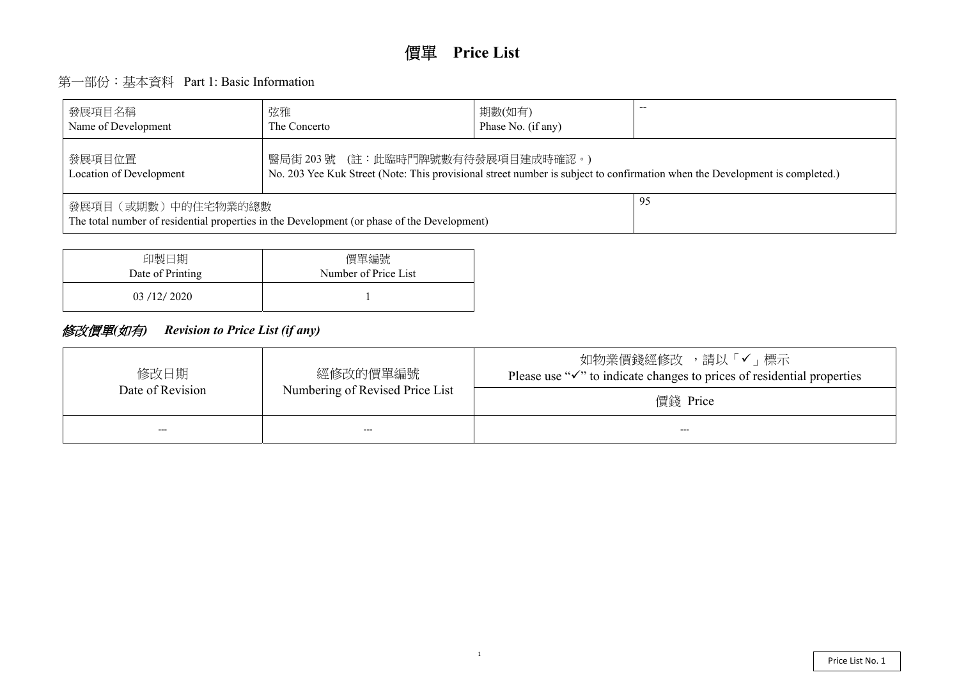# 第一部份:基本資料 Part 1: Basic Information

| 發展項目名稱<br>Name of Development                                                                                                                                                 | 弦雅<br>The Concerto | 期數(如有)<br>Phase No. (if any) |  |  |  |  |  |  |  |  |
|-------------------------------------------------------------------------------------------------------------------------------------------------------------------------------|--------------------|------------------------------|--|--|--|--|--|--|--|--|
| 醫局街 203 號 (註:此臨時門牌號數有待發展項目建成時確認。)<br>發展項目位置<br>No. 203 Yee Kuk Street (Note: This provisional street number is subject to confirmation when the De<br>Location of Development |                    |                              |  |  |  |  |  |  |  |  |
| 95<br>發展項目(或期數)中的住宅物業的總數<br>The total number of residential properties in the Development (or phase of the Development)                                                       |                    |                              |  |  |  |  |  |  |  |  |

| 印製日期             | 價單編號                 |
|------------------|----------------------|
| Date of Printing | Number of Price List |
| 03/12/2020       |                      |

## 修改價單*(*如有*) Revision to Price List (if any)*

| 修改日期<br>Date of Revision | 經修改的價單編號<br>Numbering of Revised Price List | 請し<br>如物業價錢經修改<br>Please use " $\checkmark$ " to indicate changes to pric |
|--------------------------|---------------------------------------------|---------------------------------------------------------------------------|
|                          |                                             | 價錢 Price                                                                  |
| ---                      | ---                                         | ---                                                                       |

evelopment is completed.)

メ「✔」標示 ees of residential properties

1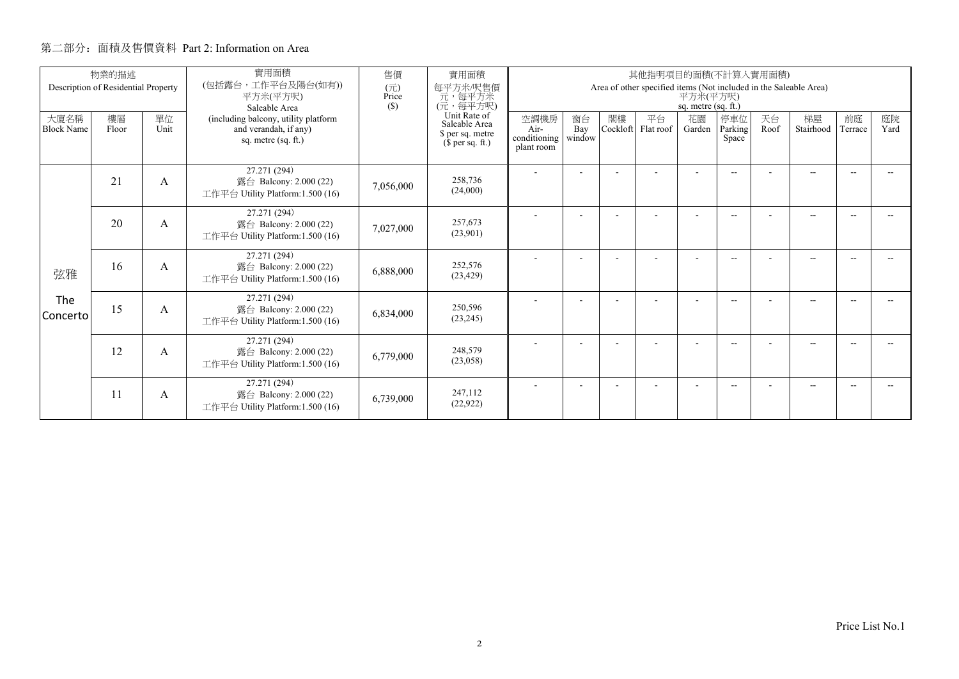|                           | 物業的描述<br>Description of Residential Property |            | 實用面積<br>(包括露台,工作平台及陽台(如有))                                                           | 售價<br>實用面積<br>其他指明項目的面積(不計算入實用面積)                                     |                                            |                                                                                                      |                |                 |              |                         |                          |                 |               |            |  |  |  |
|---------------------------|----------------------------------------------|------------|--------------------------------------------------------------------------------------|-----------------------------------------------------------------------|--------------------------------------------|------------------------------------------------------------------------------------------------------|----------------|-----------------|--------------|-------------------------|--------------------------|-----------------|---------------|------------|--|--|--|
|                           |                                              |            | 平方米(平方呎)<br>Saleable Area                                                            | (元)<br>Price<br>(S)                                                   | 每平方米/呎售價<br>元,每平方米<br>(元,每平方呎)             | Area of other specified items (Not included in the Saleable Area)<br>平方米(平方呎)<br>sq. metre (sq. ft.) |                |                 |              |                         |                          |                 |               |            |  |  |  |
| 大廈名稱<br><b>Block Name</b> | 樓層<br>Floor                                  | 單位<br>Unit | (including balcony, utility platform<br>and verandah, if any)<br>sq. metre (sq. ft.) | Unit Rate of<br>Saleable Area<br>\$ per sq. metre<br>$$$ per sq. ft.) | 空調機房<br>Air-<br>conditioning<br>plant room | 窗台<br>Bay<br>window                                                                                  | 閣樓<br>Cockloft | 平台<br>Flat roof | 花園<br>Garden | 停車位<br>Parking<br>Space | 天台<br>Roof               | 梯屋<br>Stairhood | 前庭<br>Terrace | 庭院<br>Yard |  |  |  |
|                           | 21                                           | A          | 27.271 (294)<br>露台 Balcony: 2.000 (22)<br>工作平台 Utility Platform: 1.500 (16)          | 7,056,000                                                             | 258,736<br>(24,000)                        |                                                                                                      |                |                 |              |                         | $-1$                     |                 | $-$           |            |  |  |  |
|                           | 20                                           | A          | 27.271 (294)<br>露台 Balcony: 2.000 (22)<br>工作平台 Utility Platform: 1.500 (16)          | 7,027,000                                                             | 257,673<br>(23,901)                        |                                                                                                      |                |                 |              |                         | $\overline{\phantom{a}}$ |                 | $-$           |            |  |  |  |
| 弦雅                        | 16                                           | A          | 27.271 (294)<br>露台 Balcony: 2.000 (22)<br>工作平台 Utility Platform:1.500 (16)           | 6,888,000                                                             | 252,576<br>(23, 429)                       |                                                                                                      |                |                 |              |                         | $\overline{\phantom{a}}$ |                 | $-$           | -44        |  |  |  |
| The<br>l Concerto         | 15                                           | A          | 27.271 (294)<br>露台 Balcony: 2.000 (22)<br>工作平台 Utility Platform:1.500 (16)           | 6,834,000                                                             | 250,596<br>(23, 245)                       |                                                                                                      |                |                 |              |                         | $\overline{\phantom{a}}$ |                 | $-$           |            |  |  |  |
|                           | 12                                           | A          | 27.271 (294)<br>露台 Balcony: 2.000 (22)<br>工作平台 Utility Platform:1.500 (16)           | 6,779,000                                                             | 248,579<br>(23,058)                        |                                                                                                      |                |                 |              |                         | $- -$                    |                 | $- -$         |            |  |  |  |
|                           | 11                                           | A          | 27.271 (294)<br>露台 Balcony: 2.000 (22)<br>工作平台 Utility Platform:1.500 (16)           | 6,739,000                                                             | 247,112<br>(22, 922)                       |                                                                                                      |                |                 |              |                         | $-$                      |                 | $-$           |            |  |  |  |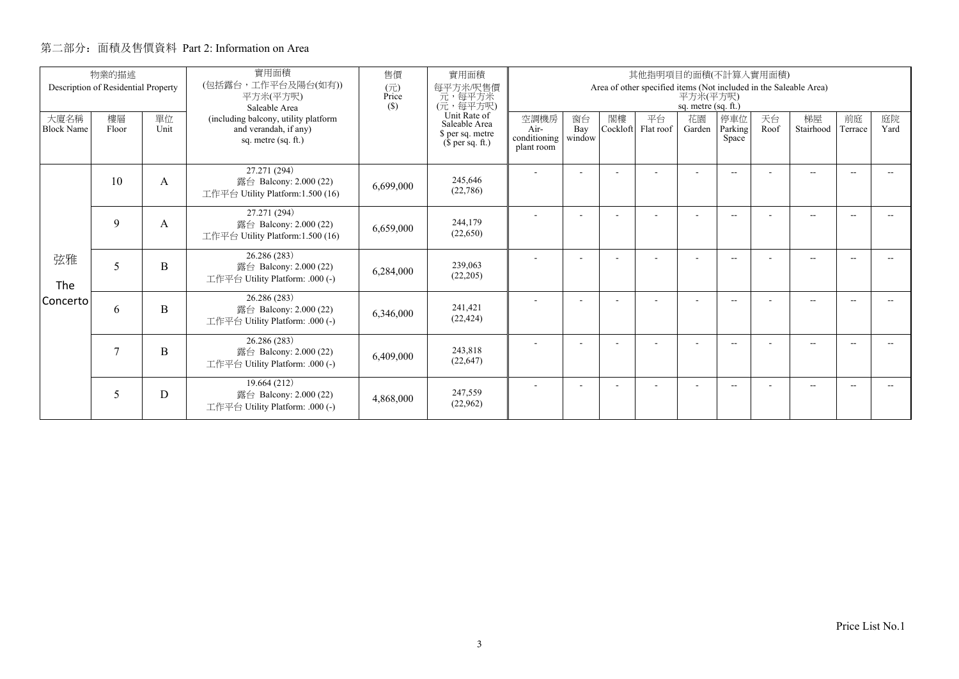|                           | 物業的描述<br>Description of Residential Property |            | 實用面積<br>(包括露台,工作平台及陽台(如有))                                                           | 售價<br>實用面積<br>其他指明項目的面積(不計算入實用面積) |                                                                                                           |                                                                                                      |                     |                |                 |                          |                         |            |                 |               |            |
|---------------------------|----------------------------------------------|------------|--------------------------------------------------------------------------------------|-----------------------------------|-----------------------------------------------------------------------------------------------------------|------------------------------------------------------------------------------------------------------|---------------------|----------------|-----------------|--------------------------|-------------------------|------------|-----------------|---------------|------------|
|                           |                                              |            | 平方米(平方呎)<br>Saleable Area                                                            | (元)<br>Price<br>(S)               | 每平方米/呎售價<br>元, 每平方米<br>(元, 每平方呎)<br>Unit Rate of<br>Saleable Area<br>\$ per sq. metre<br>$$$ per sq. ft.) | Area of other specified items (Not included in the Saleable Area)<br>平方米(平方呎)<br>sq. metre (sq. ft.) |                     |                |                 |                          |                         |            |                 |               |            |
| 大廈名稱<br><b>Block Name</b> | 樓層<br>Floor                                  | 單位<br>Unit | (including balcony, utility platform<br>and verandah, if any)<br>sq. metre (sq. ft.) |                                   |                                                                                                           | 空調機房<br>Air-<br>conditioning<br>plant room                                                           | 窗台<br>Bay<br>window | 閣樓<br>Cockloft | 平台<br>Flat roof | 花園<br>Garden             | 停車位<br>Parking<br>Space | 天台<br>Roof | 梯屋<br>Stairhood | 前庭<br>Terrace | 庭院<br>Yard |
|                           | 10                                           | A          | 27.271 (294)<br>露台 Balcony: 2.000 (22)<br>工作平台 Utility Platform:1.500 (16)           | 6,699,000                         | 245,646<br>(22,786)                                                                                       |                                                                                                      |                     |                |                 |                          | $-$                     |            | $- -$           |               |            |
|                           | 9                                            | A          | 27.271 (294)<br>露台 Balcony: 2.000 (22)<br>工作平台 Utility Platform: 1.500 (16)          | 6,659,000                         | 244,179<br>(22,650)                                                                                       |                                                                                                      |                     |                |                 |                          | $-$                     |            | $-$             |               |            |
| 弦雅<br>The                 | 5                                            | B          | 26.286 (283)<br>露台 Balcony: 2.000 (22)<br>工作平台 Utility Platform: .000 (-)            | 6,284,000                         | 239,063<br>(22, 205)                                                                                      |                                                                                                      |                     |                |                 |                          | $-$                     |            | $-$             | -44           |            |
| Concerto                  | 6                                            | B          | 26.286 (283)<br>露台 Balcony: 2.000 (22)<br>工作平台 Utility Platform: .000 (-)            | 6,346,000                         | 241,421<br>(22, 424)                                                                                      |                                                                                                      |                     |                |                 |                          | $-$                     |            | $- -$           |               |            |
|                           | 7                                            | B          | 26.286 (283)<br>露台 Balcony: 2.000 (22)<br>工作平台 Utility Platform: .000 (-)            | 6,409,000                         | 243,818<br>(22, 647)                                                                                      |                                                                                                      |                     |                |                 | $\overline{\phantom{a}}$ | $-$                     |            | $-$             | $\sim$        |            |
|                           | 5                                            | D          | 19.664 (212)<br>露台 Balcony: 2.000 (22)<br>工作平台 Utility Platform: .000 (-)            | 4,868,000                         | 247,559<br>(22,962)                                                                                       |                                                                                                      |                     |                |                 |                          | --                      |            | --              |               |            |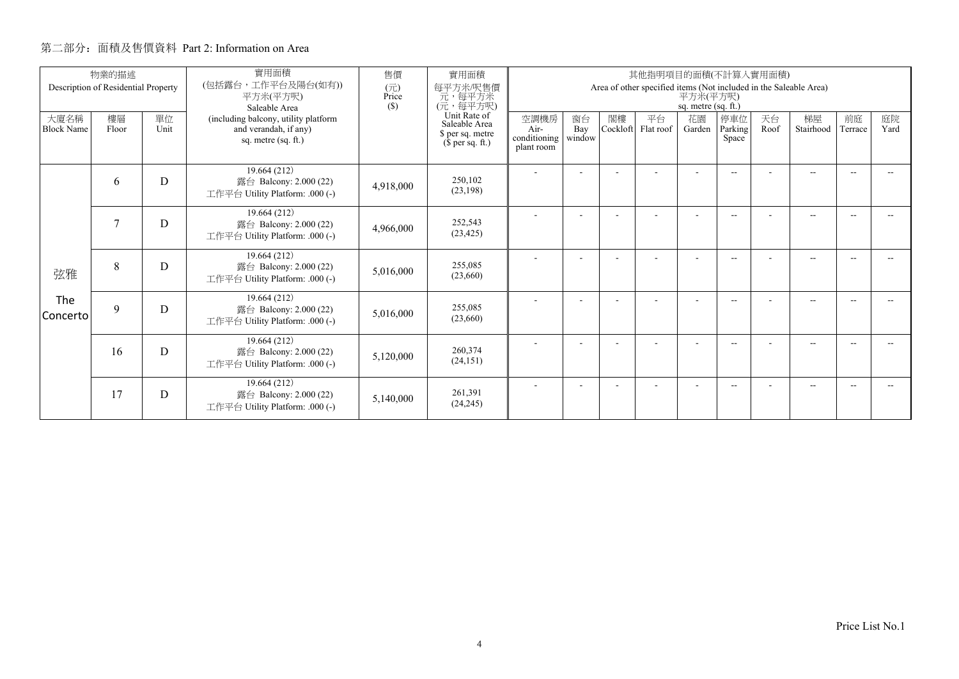|                           | 物業的描述<br>Description of Residential Property |            | 實用面積<br>(包括露台,工作平台及陽台(如有))                                                           | 售價<br>(元)    | 實用面積<br>每平方米/呎售價                                                                              |                                                                                                      |                     |                | 其他指明項目的面積(不計算入實用面積) |                          |                          |            |                 |               |            |
|---------------------------|----------------------------------------------|------------|--------------------------------------------------------------------------------------|--------------|-----------------------------------------------------------------------------------------------|------------------------------------------------------------------------------------------------------|---------------------|----------------|---------------------|--------------------------|--------------------------|------------|-----------------|---------------|------------|
|                           |                                              |            | 平方米(平方呎)<br>Saleable Area                                                            | Price<br>(S) | 元, 每平方米<br>(元, 每平方呎)<br>Unit Rate of<br>Saleable Area<br>\$ per sq. metre<br>$$$ per sq. ft.) | Area of other specified items (Not included in the Saleable Area)<br>平方米(平方呎)<br>sq. metre (sq. ft.) |                     |                |                     |                          |                          |            |                 |               |            |
| 大廈名稱<br><b>Block Name</b> | 樓層<br>Floor                                  | 單位<br>Unit | (including balcony, utility platform<br>and verandah, if any)<br>sq. metre (sq. ft.) |              |                                                                                               | 空調機房<br>Air-<br>conditioning<br>plant room                                                           | 窗台<br>Bay<br>window | 閣樓<br>Cockloft | 平台<br>Flat roof     | 花園<br>Garden             | 停車位<br>Parking<br>Space  | 天台<br>Roof | 梯屋<br>Stairhood | 前庭<br>Terrace | 庭院<br>Yard |
|                           | 6                                            | D          | 19.664 (212)<br>露台 Balcony: 2.000 (22)<br>工作平台 Utility Platform: .000 (-)            | 4,918,000    | 250,102<br>(23, 198)                                                                          |                                                                                                      |                     |                |                     |                          | $- -$                    |            | $-$             | --            |            |
|                           | 7                                            | D          | 19.664 (212)<br>露台 Balcony: 2.000 (22)<br>工作平台 Utility Platform: .000 (-)            | 4,966,000    | 252,543<br>(23, 425)                                                                          |                                                                                                      |                     |                |                     |                          | $\overline{\phantom{a}}$ |            | $-$             |               |            |
| 弦雅                        | 8                                            | D          | 19.664 (212)<br>露台 Balcony: 2.000 (22)<br>工作平台 Utility Platform: .000 (-)            | 5,016,000    | 255,085<br>(23,660)                                                                           |                                                                                                      |                     |                |                     | $\overline{\phantom{a}}$ | $\overline{\phantom{a}}$ |            | $- -$           | --            |            |
| The<br>Concerto           | 9                                            | D          | 19.664 (212)<br>露台 Balcony: 2.000 (22)<br>工作平台 Utility Platform: .000 (-)            | 5,016,000    | 255,085<br>(23,660)                                                                           |                                                                                                      |                     |                |                     |                          | $- -$                    |            | $-$             |               |            |
|                           | 16                                           | D          | 19.664 (212)<br>露台 Balcony: 2.000 (22)<br>工作平台 Utility Platform: .000 (-)            | 5,120,000    | 260,374<br>(24, 151)                                                                          |                                                                                                      |                     |                |                     | $\overline{\phantom{a}}$ | $\overline{\phantom{a}}$ |            | $-$             |               |            |
|                           | 17                                           | D          | 19.664 (212)<br>露台 Balcony: 2.000 (22)<br>工作平台 Utility Platform: .000 (-)            | 5,140,000    | 261,391<br>(24, 245)                                                                          |                                                                                                      |                     |                |                     |                          | $\overline{\phantom{a}}$ |            | $-$             |               |            |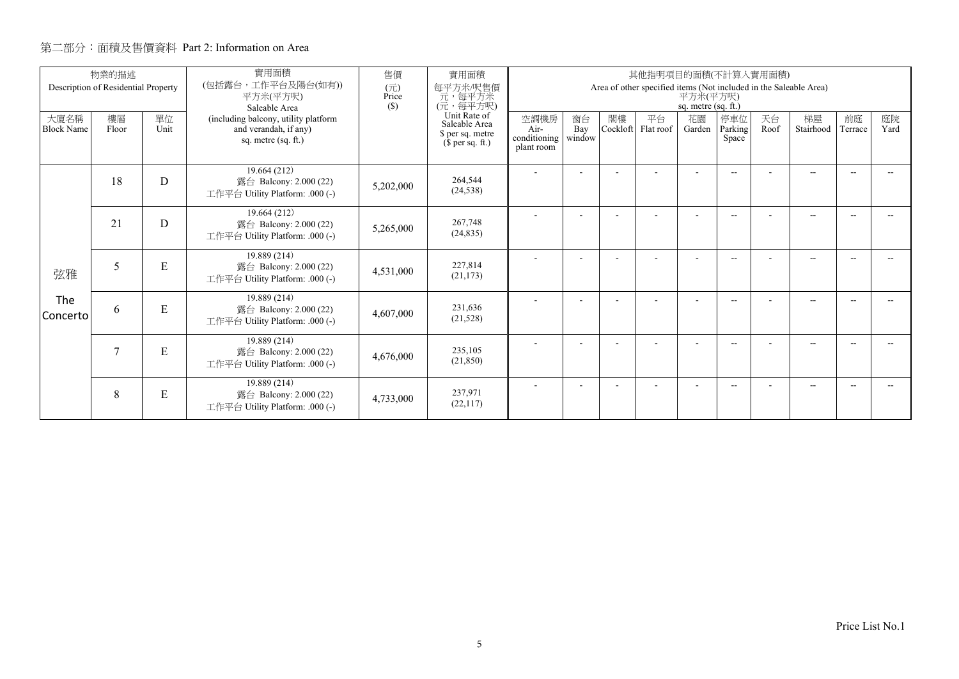|                           | 物業的描述<br>Description of Residential Property |            | 實用面積<br>(包括露台,工作平台及陽台(如有))                                                           | 售價<br>(元)                                                             | 實用面積<br>每平方米/呎售價                             |                                                                                                      |                |                 | 其他指明項目的面積(不計算入實用面積) |                          |                          |                 |               |            |  |
|---------------------------|----------------------------------------------|------------|--------------------------------------------------------------------------------------|-----------------------------------------------------------------------|----------------------------------------------|------------------------------------------------------------------------------------------------------|----------------|-----------------|---------------------|--------------------------|--------------------------|-----------------|---------------|------------|--|
|                           |                                              |            | 平方米(平方呎)<br>Saleable Area                                                            | Price<br>(S)                                                          | 元, 每平方米<br>(元, 每平方呎)                         | Area of other specified items (Not included in the Saleable Area)<br>平方米(平方呎)<br>sq. metre (sq. ft.) |                |                 |                     |                          |                          |                 |               |            |  |
| 大廈名稱<br><b>Block Name</b> | 樓層<br>Floor                                  | 單位<br>Unit | (including balcony, utility platform<br>and verandah, if any)<br>sq. metre (sq. ft.) | Unit Rate of<br>Saleable Area<br>\$ per sq. metre<br>$$$ per sq. ft.) | 空調機房<br>Air-<br>conditioning  <br>plant room | 窗台<br>Bay<br>window                                                                                  | 閣樓<br>Cockloft | 平台<br>Flat roof | 花園<br>Garden        | 停車位<br>Parking<br>Space  | 天台<br>Roof               | 梯屋<br>Stairhood | 前庭<br>Terrace | 庭院<br>Yard |  |
|                           | 18                                           | D          | 19.664 (212)<br>露台 Balcony: 2.000 (22)<br>工作平台 Utility Platform: .000 (-)            | 5,202,000                                                             | 264,544<br>(24, 538)                         |                                                                                                      | ٠              |                 |                     | $\overline{\phantom{a}}$ | $-$                      |                 | $-$           | $\sim$     |  |
|                           | 21                                           | D          | 19.664 (212)<br>露台 Balcony: 2.000 (22)<br>工作平台 Utility Platform: .000 (-)            | 5,265,000                                                             | 267,748<br>(24, 835)                         |                                                                                                      |                |                 |                     |                          | $\overline{\phantom{a}}$ |                 | --            |            |  |
| 弦雅                        | 5                                            | ${\bf E}$  | 19.889 (214)<br>露台 Balcony: 2.000 (22)<br>工作平台 Utility Platform: .000 (-)            | 4,531,000                                                             | 227,814<br>(21, 173)                         |                                                                                                      |                |                 |                     | $\overline{\phantom{a}}$ | $-$                      |                 | $-$           | --         |  |
| The<br>Concerto           | 6                                            | ${\bf E}$  | 19.889 (214)<br>露台 Balcony: 2.000 (22)<br>工作平台 Utility Platform: .000 (-)            | 4,607,000                                                             | 231.636<br>(21, 528)                         |                                                                                                      |                |                 |                     |                          | $-$                      |                 | $-$           |            |  |
|                           | 7                                            | E          | 19.889 (214)<br>露台 Balcony: 2.000 (22)<br>工作平台 Utility Platform: .000 (-)            | 4,676,000                                                             | 235,105<br>(21, 850)                         |                                                                                                      | ٠              |                 |                     | $\overline{\phantom{a}}$ | $-$                      |                 | $- -$         | $\sim$     |  |
|                           | 8                                            | E          | 19.889 (214)<br>露台 Balcony: 2.000 (22)<br>工作平台 Utility Platform: .000 (-)            | 4,733,000                                                             | 237.971<br>(22, 117)                         |                                                                                                      |                |                 |                     |                          | --                       |                 | --            |            |  |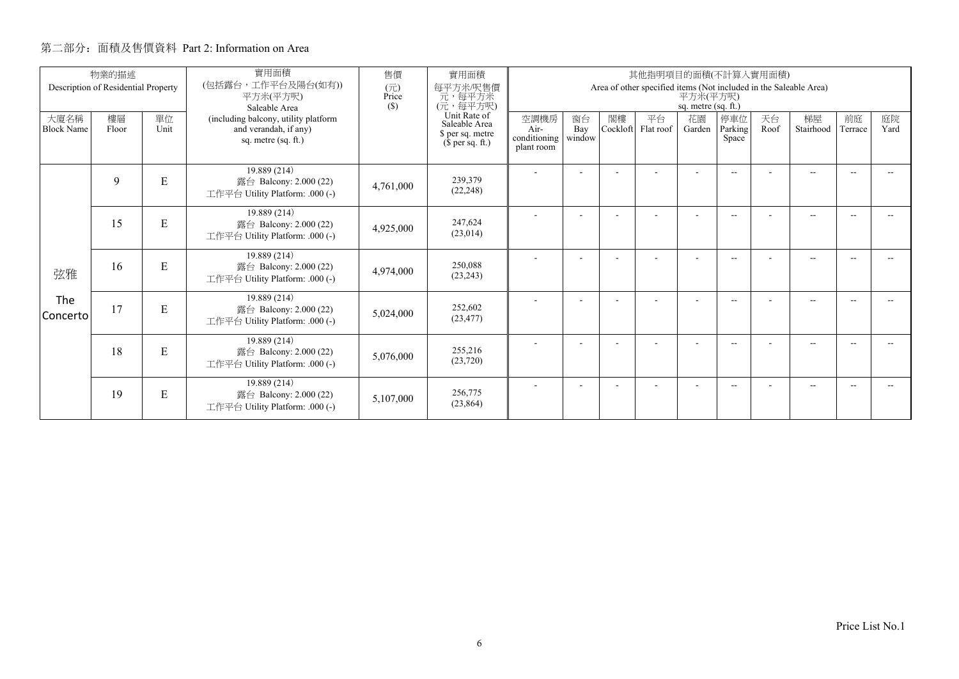|                           | 物業的描述                               |            | 實用面積                                                                                                  | 售價           | 實用面積                                                                                                             |                                            |                     |                | 其他指明項目的面積(不計算入實用面積) |                                 |                          |            |                                                                   |               |            |
|---------------------------|-------------------------------------|------------|-------------------------------------------------------------------------------------------------------|--------------|------------------------------------------------------------------------------------------------------------------|--------------------------------------------|---------------------|----------------|---------------------|---------------------------------|--------------------------|------------|-------------------------------------------------------------------|---------------|------------|
|                           | Description of Residential Property |            | (包括露台,工作平台及陽台(如有))<br>平方米(平方呎)                                                                        | (元)<br>Price | 每平方米/呎售價<br>元, 每平方米<br>(元, 每平方呎)<br>(S)<br>Unit Rate of<br>Saleable Area<br>\$ per sq. metre<br>$$$ per sq. ft.) |                                            |                     |                |                     | 平方米(平方呎)<br>sq. metre (sq. ft.) |                          |            | Area of other specified items (Not included in the Saleable Area) |               |            |
| 大廈名稱<br><b>Block Name</b> | 樓層<br>Floor                         | 單位<br>Unit | Saleable Area<br>(including balcony, utility platform<br>and verandah, if any)<br>sq. metre (sq. ft.) |              |                                                                                                                  | 空調機房<br>Air-<br>conditioning<br>plant room | 窗台<br>Bay<br>window | 閣樓<br>Cockloft | 平台<br>Flat roof     | 花園<br>Garden                    | 停車位<br>Parking<br>Space  | 天台<br>Roof | 梯屋<br>Stairhood                                                   | 前庭<br>Terrace | 庭院<br>Yard |
|                           | 9                                   | ${\bf E}$  | 19.889 (214)<br>露台 Balcony: 2.000 (22)<br>工作平台 Utility Platform: .000 (-)                             | 4,761,000    | 239,379<br>(22, 248)                                                                                             |                                            | ٠                   |                | ٠                   | $\overline{\phantom{a}}$        | $\overline{\phantom{a}}$ |            | $- -$                                                             | $\sim$        |            |
|                           | 15                                  | E          | 19.889 (214)<br>露台 Balcony: 2.000 (22)<br>工作平台 Utility Platform: .000 (-)                             | 4,925,000    | 247.624<br>(23,014)                                                                                              |                                            |                     |                |                     |                                 | $- -$                    |            | $\overline{\phantom{a}}$                                          |               |            |
| 弦雅                        | 16                                  | E          | 19.889 (214)<br>露台 Balcony: 2.000 (22)<br>工作平台 Utility Platform: .000 (-)                             | 4,974,000    | 250.088<br>(23, 243)                                                                                             |                                            |                     |                |                     |                                 | $\overline{\phantom{a}}$ |            | $-$                                                               |               |            |
| The<br>Concerto           | 17                                  | ${\bf E}$  | 19.889 (214)<br>露台 Balcony: 2.000 (22)<br>工作平台 Utility Platform: .000 (-)                             | 5,024,000    | 252,602<br>(23, 477)                                                                                             |                                            |                     |                |                     |                                 | $\overline{\phantom{a}}$ |            | $-$                                                               |               |            |
|                           | 18                                  | E          | 19.889 (214)<br>露台 Balcony: 2.000 (22)<br>工作平台 Utility Platform: .000 (-)                             | 5,076,000    | 255,216<br>(23, 720)                                                                                             |                                            |                     |                |                     | ۰                               | $\overline{\phantom{a}}$ |            | $-$                                                               |               |            |
|                           | 19                                  | E          | 19.889 (214)<br>露台 Balcony: 2.000 (22)<br>工作平台 Utility Platform: .000 (-)                             | 5,107,000    | 256,775<br>(23, 864)                                                                                             |                                            |                     |                |                     | ۰                               | $- -$                    |            | $- -$                                                             |               |            |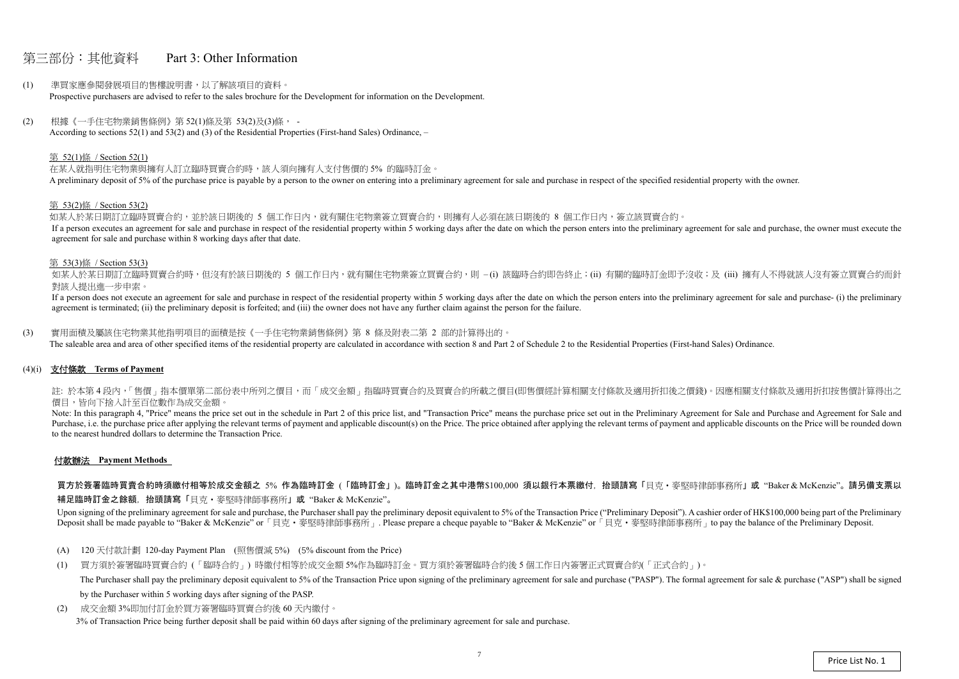## 第三部份:其他資料 Part 3: Other Information

- (1) 準買家應參閱發展項目的售樓說明書,以了解該項目的資料。 Prospective purchasers are advised to refer to the sales brochure for the Development for information on the Development.
- (2) 根據《一手住宅物業銷售條例》第 52(1)條及第 53(2)及(3)條, According to sections 52(1) and 53(2) and (3) of the Residential Properties (First-hand Sales) Ordinance, –

#### 第 52(1)條 / Section 52(1)

在某人就指明住宅物業與擁有人訂立臨時買賣合約時,該人須向擁有人支付售價的 5% 的臨時訂金。 A preliminary deposit of 5% of the purchase price is payable by a person to the owner on entering into a preliminary agreement for sale and purchase in respect of the specified residential property with the owner.

如某人於某日期訂立臨時買賣合約,並於該日期後的 5 個工作日內,就有關住宅物業簽立買賣合約,則擁有人必須在該日期後的 8 個工作日內,簽立該買賣合約。 If a person executes an agreement for sale and purchase in respect of the residential property within 5 working days after the date on which the person enters into the preliminary agreement for sale and purchase, the owner agreement for sale and purchase within 8 working days after that date.

如某人於某日期訂立臨時買賣合約時,但沒有於該日期後的 5 個工作日内,就有關住宅物業簽立買賣合約,則 –(i) 該臨時合約即告終止;(ii) 有關的臨時訂金即予沒收;及 (iii) 擁有人不得就該人沒有簽立買賣合約而針 對該人提出進一步申索。

#### 第 53(2)條 / Section 53(2)

If a person does not execute an agreement for sale and purchase in respect of the residential property within 5 working days after the date on which the person enters into the preliminary agreement for sale and purchase- ( agreement is terminated; (ii) the preliminary deposit is forfeited; and (iii) the owner does not have any further claim against the person for the failure.

註: 於本第4段内,「售價」指本價單第二部份表中所列之價目,而「成交金額」指臨時買賣合約及買賣合約所載之價目(即售價經計算相關支付條款及適用折扣後之價錢)。因應相關支付條款及適用折扣按售價計算得出之 價目,皆向下捨入計至百位數作為成交金額。

#### 第 53(3)條 / Section 53(3)

Note: In this paragraph 4, "Price" means the price set out in the schedule in Part 2 of this price list, and "Transaction Price" means the purchase price set out in the Preliminary Agreement for Sale and Purchase and Agree Purchase, i.e. the purchase price after applying the relevant terms of payment and applicable discount(s) on the Price. The price obtained after applying the relevant terms of payment and applicable discounts on the Price to the nearest hundred dollars to determine the Transaction Price.

買方於簽署臨時買賣合約時須繳付相等於成交金額之 5% 作為臨時訂金 (「臨時訂金」)。臨時訂金之其中港幣\$100,000 須以銀行本票繳付,抬頭請寫「貝克・麥堅時律師事務所」或"Baker & McKenzie"。請另備支票以 補足臨時訂金之餘額,抬頭請寫「貝克‧麥堅時律師事務所」或 "Baker & McKenzie"。

Upon signing of the preliminary agreement for sale and purchase, the Purchaser shall pay the preliminary deposit equivalent to 5% of the Transaction Price ("Preliminary Deposit"). A cashier order of HK\$100,000 being part o Deposit shall be made payable to "Baker & McKenzie" or 「貝克·麥堅時律師事務所」. Please prepare a cheque payable to "Baker & McKenzie" or 「貝克·麥堅時律師事務所」to pay the balance of the Preliminary Deposit.

(3) 實用面積及屬該住宅物業其他指明項目的面積是按《一手住宅物業銷售條例》第 8 條及附表二第 2 部的計算得出的。 The saleable area and area of other specified items of the residential property are calculated in accordance with section 8 and Part 2 of Schedule 2 to the Residential Properties (First-hand Sales) Ordinance.

## (4)(i) 支付條款 **Terms of Payment**

#### 付款辦法 **Payment Methods**

- (A) 120 天付款計劃 120-day Payment Plan (照售價減 5%) (5% discount from the Price)
- (1) 買方須於簽署臨時買賣合約 (「臨時合約」) 時繳付相等於成交金額 5%作為臨時訂金。買方須於簽署臨時合約後 <sup>5</sup> 個工作日內簽署正式買賣合約(「正式合約」)。 The Purchaser shall pay the preliminary deposit equivalent to 5% of the Transaction Price upon signing of the preliminary agreement for sale and purchase ("PASP"). The formal agreement for sale & purchase ("ASP") shall be by the Purchaser within 5 working days after signing of the PASP.
- (2) 成交金額 3%即加付訂金於買方簽署臨時買賣合約後 60 天內繳付。 3% of Transaction Price being further deposit shall be paid within 60 days after signing of the preliminary agreement for sale and purchase.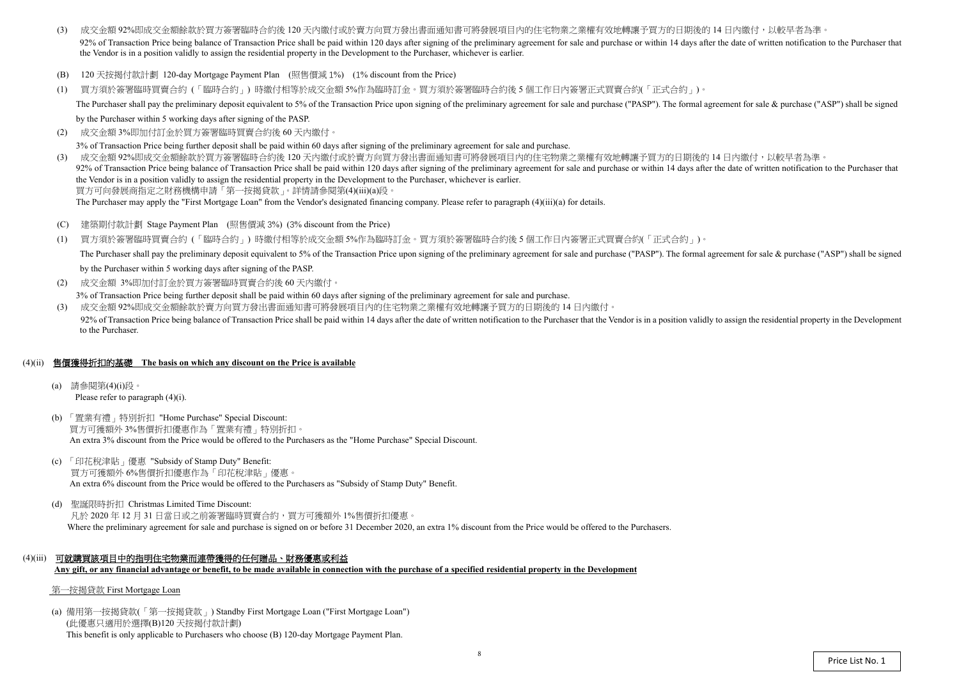$(2)$ 成交金額 3%即加付訂金於買方簽署臨時買賣合約後 <sup>60</sup> 天內繳付。

3% of Transaction Price being further deposit shall be paid within 60 days after signing of the preliminary agreement for sale and purchase.

- (3) 成交金額 92%即成交金額餘款於買方簽署臨時合約後 120 天內繳付或於賣方向買方發出書面通知書可將發展項目內的住宅物業之業權有效地轉讓予買方的日期後的 14 日內繳付,以較早者為準 92% of Transaction Price being balance of Transaction Price shall be paid within 120 days after signing of the preliminary agreement for sale and purchase or within 14 days after the date of written notification to the Pur the Vendor is in a position validly to assign the residential property in the Development to the Purchaser, whichever is earlier.
- (B) 120 天按揭付款計劃 120-day Mortgage Payment Plan (照售價減 1%) (1% discount from the Price)
- (1) 買方須於簽署臨時買賣合約 (「臨時合約」) 時繳付相等於成交金額 5%作為臨時訂金。買方須於簽署臨時合約後 <sup>5</sup> 個工作日內簽署正式買賣合約(「正式合約」)。 The Purchaser shall pay the preliminary deposit equivalent to 5% of the Transaction Price upon signing of the preliminary agreement for sale and purchase ("PASP"). The formal agreement for sale & purchase ("ASP") shall be

by the Purchaser within 5 working days after signing of the PASP.

- $(C)$ 建築期付款計劃 Stage Payment Plan (照售價減 <sup>3</sup>%) (3% discount from the Price)
- (1) 買方須於簽署臨時買賣合約 (「臨時合約」) 時繳付相等於成交金額 5%作為臨時訂金。買方須於簽署臨時合約後 <sup>5</sup> 個工作日內簽署正式買賣合約(「正式合約」)。 The Purchaser shall pay the preliminary deposit equivalent to 5% of the Transaction Price upon signing of the preliminary agreement for sale and purchase ("PASP"). The formal agreement for sale & purchase ("ASP") shall be by the Purchaser within 5 working days after signing of the PASP.
- (2) 成交金額 3%即加付訂金於買方簽署臨時買賣合約後 60 天內繳付。

(3) 成交金額 92%即成交金額餘款於買方簽署臨時合約後 <sup>120</sup> 天內繳付或於賣方向買方發出書面通知書可將發展項目內的住宅物業之業權有效地轉讓予買方的日期後的 <sup>14</sup> 日內繳付,以較早者為準。 92% of Transaction Price being balance of Transaction Price shall be paid within 120 days after signing of the preliminary agreement for sale and purchase or within 14 days after the date of written notification to the Pur the Vendor is in a position validly to assign the residential property in the Development to the Purchaser, whichever is earlier.買方可向發展商指定之財務機構申請「第一按揭貸款」。詳情請參閱第(4)(iii)(a)段。

The Purchaser may apply the "First Mortgage Loan" from the Vendor's designated financing company. Please refer to paragraph (4)(iii)(a) for details.

3% of Transaction Price being further deposit shall be paid within 60 days after signing of the preliminary agreement for sale and purchase.

(3) 成交金額 92%即成交金額餘款於賣方向買方發出書面通知書可將發展項目內的住宅物業之業權有效地轉讓予買方的日期後的 <sup>14</sup> 日內繳付。 92% of Transaction Price being balance of Transaction Price shall be paid within 14 days after the date of written notification to the Purchaser that the Vendor is in a position validly to assign the residential property i to the Purchaser.

## (4)(ii) 售價獲得折扣的基礎 **The basis on which any discount on the Price is available**

- (a) 請參閱第(4)(i)段。 Please refer to paragraph (4)(i).
- (b) 「置業有禮」特別折扣 "Home Purchase" Special Discount: 買方可獲額外 3%售價折扣優惠作為「置業有禮」特別折扣。 An extra 3% discount from the Price would be offered to the Purchasers as the "Home Purchase" Special Discount.
- (c) 「印花稅津貼」優惠 "Subsidy of Stamp Duty" Benefit: 買方可獲額外 6%售價折扣優惠作為「印花稅津貼」優惠。 An extra 6% discount from the Price would be offered to the Purchasers as "Subsidy of Stamp Duty" Benefit.
- (d) 聖誕限時折扣 Christmas Limited Time Discount: 凡於 2020 年 12 月 31 日當日或之前簽署臨時買賣合約,買方可獲額外 1%售價折扣優惠。 Where the preliminary agreement for sale and purchase is signed on or before 31 December 2020, an extra 1% discount from the Price would be offered to the Purchasers.
- (4)(iii) 可就購買該項目中的指明住宅物業而連帶獲得的任何贈品、財務優惠或利益 **Any gift, or any financial advantage or benefit, to be made available in connection with the purchase of a specified residential property in the Development**

#### 第一按揭貸款 First Mortgage Loan

(a) 備用第一按揭貸款(「第一按揭貸款」) Standby First Mortgage Loan ("First Mortgage Loan") (此優惠只適用於選擇(B)120 天按揭付款計劃) This benefit is only applicable to Purchasers who choose (B) 120-day Mortgage Payment Plan.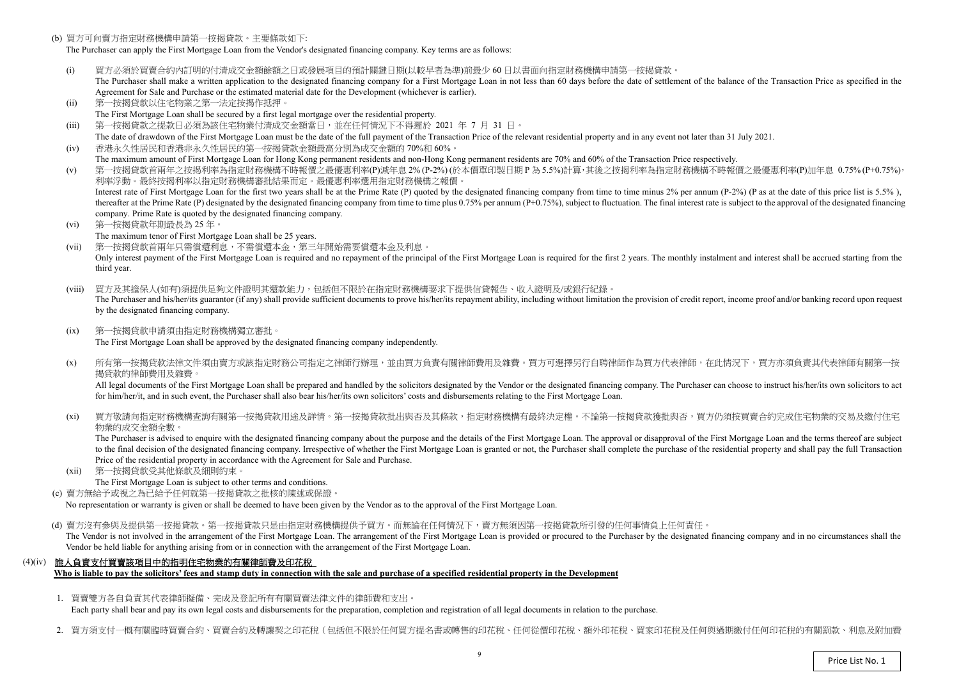(b) 買方可向賣方指定財務機構申請第一按揭貸款。主要條款如下:

The Purchaser can apply the First Mortgage Loan from the Vendor's designated financing company. Key terms are as follows:

- (i)) 買方必須於買賣合約內訂明的付清成交金額餘額之日或發展項目的預計關鍵日期(以較早者為準)前最少 60 日以書面向指定財務機構申請第一按揭貸款。<br>The Purchaser shall make a written application to the designated financing company for a First Mortgage Loan in not less than 60 days before the da The Purchaser shall make a written application to the designated financing company for a First Mortgage Loan in not less than 60 days before the date of settlement of the balance of the Transaction Price as specified in the Agreement for Sale and Purchase or the estimated material date for the Development (whichever is earlier).
- (ii)第一按揭貸款以住宅物業之第一法定按揭作抵押。
- The First Mortgage Loan shall be secured by a first legal mortgage over the residential property.
- $(iii)$ 第一按揭貸款之提款日必須為該住宅物業付清成交金額當日,並在任何情況下不得遲於 <sup>2021</sup> <sup>年</sup><sup>7</sup> <sup>月</sup> <sup>31</sup>日。
- The date of drawdown of the First Mortgage Loan must be the date of the full payment of the Transaction Price of the relevant residential property and in any event not later than 31 July 2021. (iv)香港永久性居民和香港非永久性居民的第一按揭貸款金額最高分別為成交金額的 70%<sup>和</sup> 60%。
- The maximum amount of First Mortgage Loan for Hong Kong permanent residents and non-Hong Kong permanent residents are 70% and 60% of the Transaction Price respectively.<br>第一位担合教会员每个投提现这些生产的规模建立的一具原子的一个 (v)
- ) 第一按揭貸款首兩年之按揭利率為指定財務機構不時報價之最優惠利率(P)減年息 2% (P-2%) (於本價單印製日期 P 為 5.5%)計算,其後之按揭利率為指定財務機構不時報價之最優惠利率(P)加年息 0.75% (P+0.75%),<br>利率浮動。 最终按規利率以指定財務機構案批結果而定。 景優東利率選用指定財務機構之報價。 利率浮動。最終按揭利率以指定財務機構審批結果而定。最優惠利率選用指定財務機構之報價。Interest rate of First Mortgage Loan for the first two years shall be at the Prime Rate (P) quoted by the designated financing company from time to time minus 2% per annum (P-2%) (P as at the date of this price list is 5.5 thereafter at the Prime Rate (P) designated by the designated financing company from time to time plus 0.75% per annum (P+0.75%), subject to fluctuation. The final interest rate is subject to the approval of the designated company. Prime Rate is quoted by the designated financing company.
- (vi) 第一按揭貸款年期最長為 <sup>25</sup> 年。
- The maximum tenor of First Mortgage Loan shall be 25 years.
- (vii) 第一按揭貸款首兩年只需償還利息,不需償還本金,第三年開始需要償還本金及利息。Only interest payment of the First Mortgage Loan is required and no repayment of the principal of the First Mortgage Loan is required for the first 2 years. The monthly instalment and interest shall be accrued starting fro third year.
- (viii) 買方及其擔保人(如有)須提供足夠文件證明其還款能力,包括但不限於在指定財務機構要求下提供信貸報告、收入證明及/或銀行紀錄。The Purchaser and his/her/its guarantor (if any) shall provide sufficient documents to prove his/her/its repayment ability, including without limitation the provision of credit report, income proof and/or banking record up by the designated financing company.
- $(ix)$  第一按揭貸款申請須由指定財務機構獨立審批。The First Mortgage Loan shall be approved by the designated financing company independently.
- $(x)$ 所有第一按揭貸款法律文件須由賣方或該指定財務公司指定之律師行辦理,並由買方負責有關律師費用及雜費。買方可選擇另行自聘律師作為買方代表律師,在此情況下,買方亦須負責其代表律師有關第一按 揭貸款的律師費用及雜費。

All legal documents of the First Mortgage Loan shall be prepared and handled by the solicitors designated by the Vendor or the designated financing company. The Purchaser can choose to instruct his/her/its own solicitors t for him/her/it, and in such event, the Purchaser shall also bear his/her/its own solicitors' costs and disbursements relating to the First Mortgage Loan.

 $(x_i)$ 買方敬請向指定財務機構查詢有關第一按揭貸款用途及詳情。第一按揭貸款批出與否及其條款,指定財務機構有最終決定權。不論第一按揭貸款獲批與否,買方仍須按買賣合約完成住宅物業的交易及繳付住宅 物業的成交金額全數。

 $(xii)$  第一按揭貸款受其他條款及細則約束。The First Mortgage Loan is subject to other terms and conditions.

(d) 賣方沒有參與及提供第一按揭貸款。第一按揭貸款只是由指定財務機構提供予買方。而無論在任何情況下,賣方無須因第一按揭貸款所引發的任何事情負上任何責任。 The Vendor is not involved in the arrangement of the First Mortgage Loan. The arrangement of the First Mortgage Loan is provided or procured to the Purchaser by the designated financing company and in no circumstances shal Vendor be held liable for anything arising from or in connection with the arrangement of the First Mortgage Loan.

 The Purchaser is advised to enquire with the designated financing company about the purpose and the details of the First Mortgage Loan. The approval or disapproval of the First Mortgage Loan and the terms thereof are subject to the final decision of the designated financing company. Irrespective of whether the First Mortgage Loan is granted or not, the Purchaser shall complete the purchase of the residential property and shall pay the full Tra Price of the residential property in accordance with the Agreement for Sale and Purchase.

(c) 賣方無給予或視之為已給予任何就第一按揭貸款之批核的陳述或保證。

No representation or warranty is <sup>g</sup>iven or shall be deemed to have been given by the Vendor as to the approval of the First Mortgage Loan.

## (4)(iv) 誰人負責支付買賣該項目中的指明住宅物業的有關律師費及印花稅

**Who is liable to pay the solicitors' fees and stamp duty in connection with the sale and purchase of a specified residential property in the Development** 

1. 買賣雙方各自負責其代表律師擬備、完成及登記所有有關買賣法律文件的律師費和支出。

Each party shall bear and pay its own legal costs and disbursements for the preparation, completion and registration of all legal documents in relation to the purchase.

2. 買方須支付一概有關臨時買賣合約、買賣合約及轉讓契之印花稅(包括但不限於任何買方提名書或轉售的印花稅、任何從價印花稅、額外印花稅、買家印花稅及任何與過期繳付任何印花稅的有關罰款、利息及附加費